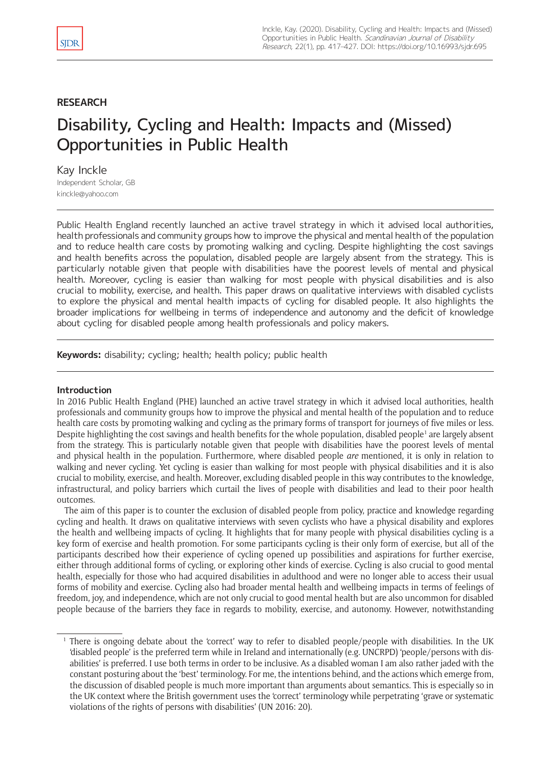# **RESEARCH**

# Disability, Cycling and Health: Impacts and (Missed) Opportunities in Public Health

Kay Inckle Independent Scholar, GB [kinckle@yahoo.com](mailto:kinckle@yahoo.com)

Public Health England recently launched an active travel strategy in which it advised local authorities, health professionals and community groups how to improve the physical and mental health of the population and to reduce health care costs by promoting walking and cycling. Despite highlighting the cost savings and health benefits across the population, disabled people are largely absent from the strategy. This is particularly notable given that people with disabilities have the poorest levels of mental and physical health. Moreover, cycling is easier than walking for most people with physical disabilities and is also crucial to mobility, exercise, and health. This paper draws on qualitative interviews with disabled cyclists to explore the physical and mental health impacts of cycling for disabled people. It also highlights the broader implications for wellbeing in terms of independence and autonomy and the deficit of knowledge about cycling for disabled people among health professionals and policy makers.

**Keywords:** disability; cycling; health; health policy; public health

# **Introduction**

In 2016 Public Health England (PHE) launched an active travel strategy in which it advised local authorities, health professionals and community groups how to improve the physical and mental health of the population and to reduce health care costs by promoting walking and cycling as the primary forms of transport for journeys of five miles or less. Despite highlighting the cost savings and health benefits for the whole population, disabled people<sup>1</sup> are largely absent from the strategy. This is particularly notable given that people with disabilities have the poorest levels of mental and physical health in the population. Furthermore, where disabled people *are* mentioned, it is only in relation to walking and never cycling. Yet cycling is easier than walking for most people with physical disabilities and it is also crucial to mobility, exercise, and health. Moreover, excluding disabled people in this way contributes to the knowledge, infrastructural, and policy barriers which curtail the lives of people with disabilities and lead to their poor health outcomes.

The aim of this paper is to counter the exclusion of disabled people from policy, practice and knowledge regarding cycling and health. It draws on qualitative interviews with seven cyclists who have a physical disability and explores the health and wellbeing impacts of cycling. It highlights that for many people with physical disabilities cycling is a key form of exercise and health promotion. For some participants cycling is their only form of exercise, but all of the participants described how their experience of cycling opened up possibilities and aspirations for further exercise, either through additional forms of cycling, or exploring other kinds of exercise. Cycling is also crucial to good mental health, especially for those who had acquired disabilities in adulthood and were no longer able to access their usual forms of mobility and exercise. Cycling also had broader mental health and wellbeing impacts in terms of feelings of freedom, joy, and independence, which are not only crucial to good mental health but are also uncommon for disabled people because of the barriers they face in regards to mobility, exercise, and autonomy. However, notwithstanding

<sup>1</sup> There is ongoing debate about the 'correct' way to refer to disabled people/people with disabilities. In the UK 'disabled people' is the preferred term while in Ireland and internationally (e.g. UNCRPD) 'people/persons with disabilities' is preferred. I use both terms in order to be inclusive. As a disabled woman I am also rather jaded with the constant posturing about the 'best' terminology. For me, the intentions behind, and the actions which emerge from, the discussion of disabled people is much more important than arguments about semantics. This is especially so in the UK context where the British government uses the 'correct' terminology while perpetrating 'grave or systematic violations of the rights of persons with disabilities' (UN 2016: 20).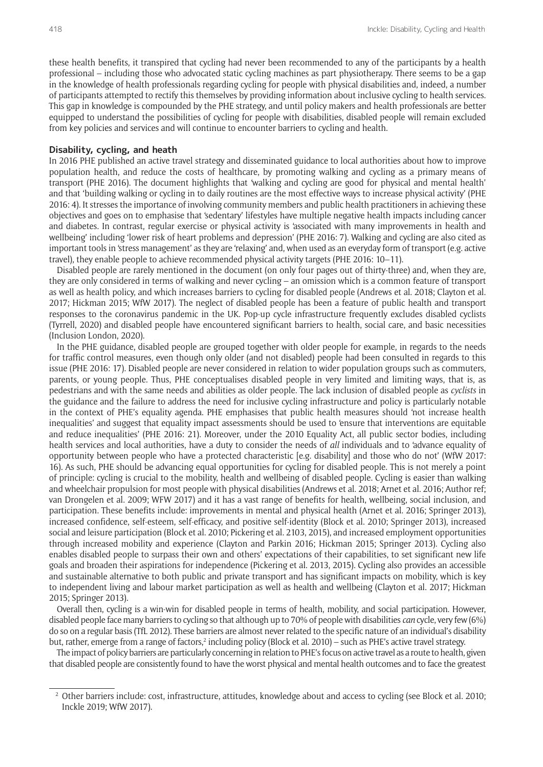these health benefits, it transpired that cycling had never been recommended to any of the participants by a health professional – including those who advocated static cycling machines as part physiotherapy. There seems to be a gap in the knowledge of health professionals regarding cycling for people with physical disabilities and, indeed, a number of participants attempted to rectify this themselves by providing information about inclusive cycling to health services. This gap in knowledge is compounded by the PHE strategy, and until policy makers and health professionals are better equipped to understand the possibilities of cycling for people with disabilities, disabled people will remain excluded from key policies and services and will continue to encounter barriers to cycling and health.

#### **Disability, cycling, and heath**

In 2016 PHE published an active travel strategy and disseminated guidance to local authorities about how to improve population health, and reduce the costs of healthcare, by promoting walking and cycling as a primary means of transport (PHE 2016). The document highlights that 'walking and cycling are good for physical and mental health' and that 'building walking or cycling in to daily routines are the most effective ways to increase physical activity' (PHE 2016: 4). It stresses the importance of involving community members and public health practitioners in achieving these objectives and goes on to emphasise that 'sedentary' lifestyles have multiple negative health impacts including cancer and diabetes. In contrast, regular exercise or physical activity is 'associated with many improvements in health and wellbeing' including 'lower risk of heart problems and depression' (PHE 2016: 7). Walking and cycling are also cited as important tools in 'stress management' as they are 'relaxing' and, when used as an everyday form of transport (e.g. active travel), they enable people to achieve recommended physical activity targets (PHE 2016: 10–11).

Disabled people are rarely mentioned in the document (on only four pages out of thirty-three) and, when they are, they are only considered in terms of walking and never cycling – an omission which is a common feature of transport as well as health policy, and which increases barriers to cycling for disabled people (Andrews et al. 2018; Clayton et al. 2017; Hickman 2015; WfW 2017). The neglect of disabled people has been a feature of public health and transport responses to the coronavirus pandemic in the UK. Pop-up cycle infrastructure frequently excludes disabled cyclists (Tyrrell, 2020) and disabled people have encountered significant barriers to health, social care, and basic necessities (Inclusion London, 2020).

In the PHE guidance, disabled people are grouped together with older people for example, in regards to the needs for traffic control measures, even though only older (and not disabled) people had been consulted in regards to this issue (PHE 2016: 17). Disabled people are never considered in relation to wider population groups such as commuters, parents, or young people. Thus, PHE conceptualises disabled people in very limited and limiting ways, that is, as pedestrians and with the same needs and abilities as older people. The lack inclusion of disabled people as *cyclists* in the guidance and the failure to address the need for inclusive cycling infrastructure and policy is particularly notable in the context of PHE's equality agenda. PHE emphasises that public health measures should 'not increase health inequalities' and suggest that equality impact assessments should be used to 'ensure that interventions are equitable and reduce inequalities' (PHE 2016: 21). Moreover, under the 2010 Equality Act, all public sector bodies, including health services and local authorities, have a duty to consider the needs of *all* individuals and to 'advance equality of opportunity between people who have a protected characteristic [e.g. disability] and those who do not' (WfW 2017: 16). As such, PHE should be advancing equal opportunities for cycling for disabled people. This is not merely a point of principle: cycling is crucial to the mobility, health and wellbeing of disabled people. Cycling is easier than walking and wheelchair propulsion for most people with physical disabilities (Andrews et al. 2018; Arnet et al. 2016; Author ref; van Drongelen et al. 2009; WFW 2017) and it has a vast range of benefits for health, wellbeing, social inclusion, and participation. These benefits include: improvements in mental and physical health (Arnet et al. 2016; Springer 2013), increased confidence, self-esteem, self-efficacy, and positive self-identity (Block et al. 2010; Springer 2013), increased social and leisure participation (Block et al. 2010; Pickering et al. 2103, 2015), and increased employment opportunities through increased mobility and experience (Clayton and Parkin 2016; Hickman 2015; Springer 2013). Cycling also enables disabled people to surpass their own and others' expectations of their capabilities, to set significant new life goals and broaden their aspirations for independence (Pickering et al. 2013, 2015). Cycling also provides an accessible and sustainable alternative to both public and private transport and has significant impacts on mobility, which is key to independent living and labour market participation as well as health and wellbeing (Clayton et al. 2017; Hickman 2015; Springer 2013).

Overall then, cycling is a win-win for disabled people in terms of health, mobility, and social participation. However, disabled people face many barriers to cycling so that although up to 70% of people with disabilities *can* cycle, very few (6%) do so on a regular basis (TfL 2012). These barriers are almost never related to the specific nature of an individual's disability but, rather, emerge from a range of factors,<sup>2</sup> including policy (Block et al. 2010) – such as PHE's active travel strategy.

The impact of policy barriers are particularly concerning in relation to PHE's focus on active travel as a route to health, given that disabled people are consistently found to have the worst physical and mental health outcomes and to face the greatest

<sup>2</sup> Other barriers include: cost, infrastructure, attitudes, knowledge about and access to cycling (see Block et al. 2010; Inckle 2019; WfW 2017).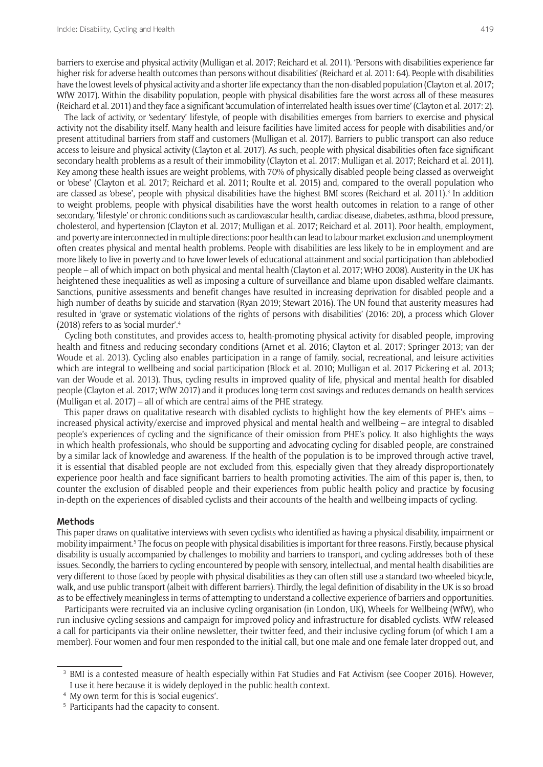barriers to exercise and physical activity (Mulligan et al. 2017; Reichard et al. 2011). 'Persons with disabilities experience far higher risk for adverse health outcomes than persons without disabilities' (Reichard et al. 2011: 64). People with disabilities have the lowest levels of physical activity and a shorter life expectancy than the non-disabled population (Clayton et al. 2017; WfW 2017). Within the disability population, people with physical disabilities fare the worst across all of these measures (Reichard et al. 2011) and they face a significant 'accumulation of interrelated health issues over time' (Clayton et al. 2017: 2).

The lack of activity, or 'sedentary' lifestyle, of people with disabilities emerges from barriers to exercise and physical activity not the disability itself. Many health and leisure facilities have limited access for people with disabilities and/or present attitudinal barriers from staff and customers (Mulligan et al. 2017). Barriers to public transport can also reduce access to leisure and physical activity (Clayton et al. 2017). As such, people with physical disabilities often face significant secondary health problems as a result of their immobility (Clayton et al. 2017; Mulligan et al. 2017; Reichard et al. 2011). Key among these health issues are weight problems, with 70% of physically disabled people being classed as overweight or 'obese' (Clayton et al. 2017; Reichard et al. 2011; Roulte et al. 2015) and, compared to the overall population who are classed as 'obese', people with physical disabilities have the highest BMI scores (Reichard et al. 2011).<sup>3</sup> In addition to weight problems, people with physical disabilities have the worst health outcomes in relation to a range of other secondary, 'lifestyle' or chronic conditions such as cardiovascular health, cardiac disease, diabetes, asthma, blood pressure, cholesterol, and hypertension (Clayton et al. 2017; Mulligan et al. 2017; Reichard et al. 2011). Poor health, employment, and poverty are interconnected in multiple directions: poor health can lead to labour market exclusion and unemployment often creates physical and mental health problems. People with disabilities are less likely to be in employment and are more likely to live in poverty and to have lower levels of educational attainment and social participation than ablebodied people – all of which impact on both physical and mental health (Clayton et al. 2017; WHO 2008). Austerity in the UK has heightened these inequalities as well as imposing a culture of surveillance and blame upon disabled welfare claimants. Sanctions, punitive assessments and benefit changes have resulted in increasing deprivation for disabled people and a high number of deaths by suicide and starvation (Ryan 2019; Stewart 2016). The UN found that austerity measures had resulted in 'grave or systematic violations of the rights of persons with disabilities' (2016: 20), a process which Glover (2018) refers to as 'social murder'.<sup>4</sup>

Cycling both constitutes, and provides access to, health-promoting physical activity for disabled people, improving health and fitness and reducing secondary conditions (Arnet et al. 2016; Clayton et al. 2017; Springer 2013; van der Woude et al. 2013). Cycling also enables participation in a range of family, social, recreational, and leisure activities which are integral to wellbeing and social participation (Block et al. 2010; Mulligan et al. 2017 Pickering et al. 2013; van der Woude et al. 2013). Thus, cycling results in improved quality of life, physical and mental health for disabled people (Clayton et al. 2017; WfW 2017) and it produces long-term cost savings and reduces demands on health services (Mulligan et al. 2017) – all of which are central aims of the PHE strategy.

This paper draws on qualitative research with disabled cyclists to highlight how the key elements of PHE's aims – increased physical activity/exercise and improved physical and mental health and wellbeing – are integral to disabled people's experiences of cycling and the significance of their omission from PHE's policy. It also highlights the ways in which health professionals, who should be supporting and advocating cycling for disabled people, are constrained by a similar lack of knowledge and awareness. If the health of the population is to be improved through active travel, it is essential that disabled people are not excluded from this, especially given that they already disproportionately experience poor health and face significant barriers to health promoting activities. The aim of this paper is, then, to counter the exclusion of disabled people and their experiences from public health policy and practice by focusing in-depth on the experiences of disabled cyclists and their accounts of the health and wellbeing impacts of cycling.

#### **Methods**

This paper draws on qualitative interviews with seven cyclists who identified as having a physical disability, impairment or mobility impairment.<sup>5</sup> The focus on people with physical disabilities is important for three reasons. Firstly, because physical disability is usually accompanied by challenges to mobility and barriers to transport, and cycling addresses both of these issues. Secondly, the barriers to cycling encountered by people with sensory, intellectual, and mental health disabilities are very different to those faced by people with physical disabilities as they can often still use a standard two-wheeled bicycle, walk, and use public transport (albeit with different barriers). Thirdly, the legal definition of disability in the UK is so broad as to be effectively meaningless in terms of attempting to understand a collective experience of barriers and opportunities.

Participants were recruited via an inclusive cycling organisation (in London, UK), Wheels for Wellbeing (WfW), who run inclusive cycling sessions and campaign for improved policy and infrastructure for disabled cyclists. WfW released a call for participants via their online newsletter, their twitter feed, and their inclusive cycling forum (of which I am a member). Four women and four men responded to the initial call, but one male and one female later dropped out, and

<sup>&</sup>lt;sup>3</sup> BMI is a contested measure of health especially within Fat Studies and Fat Activism (see Cooper 2016). However, I use it here because it is widely deployed in the public health context.

<sup>4</sup> My own term for this is 'social eugenics'.

<sup>&</sup>lt;sup>5</sup> Participants had the capacity to consent.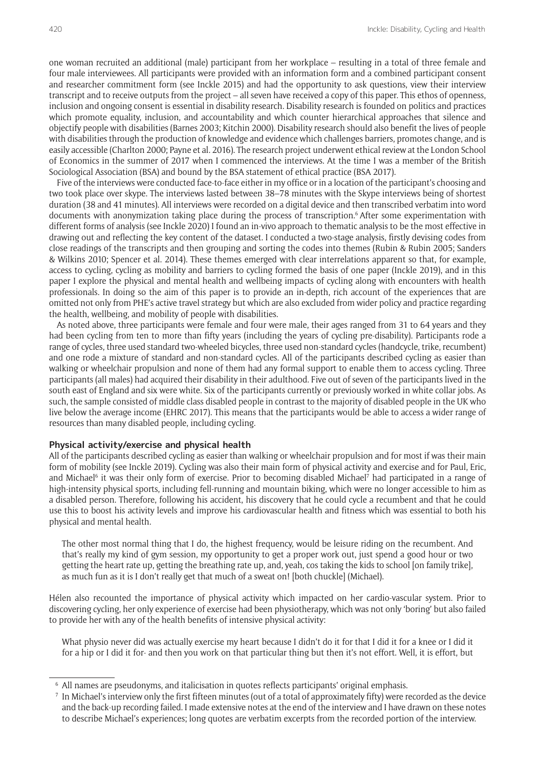one woman recruited an additional (male) participant from her workplace – resulting in a total of three female and four male interviewees. All participants were provided with an information form and a combined participant consent and researcher commitment form (see Inckle 2015) and had the opportunity to ask questions, view their interview transcript and to receive outputs from the project – all seven have received a copy of this paper. This ethos of openness, inclusion and ongoing consent is essential in disability research. Disability research is founded on politics and practices which promote equality, inclusion, and accountability and which counter hierarchical approaches that silence and objectify people with disabilities (Barnes 2003; Kitchin 2000). Disability research should also benefit the lives of people with disabilities through the production of knowledge and evidence which challenges barriers, promotes change, and is easily accessible (Charlton 2000; Payne et al*.* 2016). The research project underwent ethical review at the London School of Economics in the summer of 2017 when I commenced the interviews. At the time I was a member of the British Sociological Association (BSA) and bound by the BSA statement of ethical practice (BSA 2017).

Five of the interviews were conducted face-to-face either in my office or in a location of the participant's choosing and two took place over skype. The interviews lasted between 38–78 minutes with the Skype interviews being of shortest duration (38 and 41 minutes). All interviews were recorded on a digital device and then transcribed verbatim into word documents with anonymization taking place during the process of transcription.<sup>6</sup> After some experimentation with different forms of analysis (see Inckle 2020) I found an in-vivo approach to thematic analysis to be the most effective in drawing out and reflecting the key content of the dataset. I conducted a two-stage analysis, firstly devising codes from close readings of the transcripts and then grouping and sorting the codes into themes (Rubin & Rubin 2005; Sanders & Wilkins 2010; Spencer et al. 2014). These themes emerged with clear interrelations apparent so that, for example, access to cycling, cycling as mobility and barriers to cycling formed the basis of one paper (Inckle 2019), and in this paper I explore the physical and mental health and wellbeing impacts of cycling along with encounters with health professionals. In doing so the aim of this paper is to provide an in-depth, rich account of the experiences that are omitted not only from PHE's active travel strategy but which are also excluded from wider policy and practice regarding the health, wellbeing, and mobility of people with disabilities.

As noted above, three participants were female and four were male, their ages ranged from 31 to 64 years and they had been cycling from ten to more than fifty years (including the years of cycling pre-disability). Participants rode a range of cycles, three used standard two-wheeled bicycles, three used non-standard cycles (handcycle, trike, recumbent) and one rode a mixture of standard and non-standard cycles. All of the participants described cycling as easier than walking or wheelchair propulsion and none of them had any formal support to enable them to access cycling. Three participants (all males) had acquired their disability in their adulthood. Five out of seven of the participants lived in the south east of England and six were white. Six of the participants currently or previously worked in white collar jobs. As such, the sample consisted of middle class disabled people in contrast to the majority of disabled people in the UK who live below the average income (EHRC 2017). This means that the participants would be able to access a wider range of resources than many disabled people, including cycling.

### **Physical activity/exercise and physical health**

All of the participants described cycling as easier than walking or wheelchair propulsion and for most if was their main form of mobility (see Inckle 2019). Cycling was also their main form of physical activity and exercise and for Paul, Eric, and Michael<sup>6</sup> it was their only form of exercise. Prior to becoming disabled Michael<sup>7</sup> had participated in a range of high-intensity physical sports, including fell-running and mountain biking, which were no longer accessible to him as a disabled person. Therefore, following his accident, his discovery that he could cycle a recumbent and that he could use this to boost his activity levels and improve his cardiovascular health and fitness which was essential to both his physical and mental health.

The other most normal thing that I do, the highest frequency, would be leisure riding on the recumbent. And that's really my kind of gym session, my opportunity to get a proper work out, just spend a good hour or two getting the heart rate up, getting the breathing rate up, and, yeah, cos taking the kids to school [on family trike], as much fun as it is I don't really get that much of a sweat on! [both chuckle] (Michael).

Hélen also recounted the importance of physical activity which impacted on her cardio-vascular system. Prior to discovering cycling, her only experience of exercise had been physiotherapy, which was not only 'boring' but also failed to provide her with any of the health benefits of intensive physical activity:

What physio never did was actually exercise my heart because I didn't do it for that I did it for a knee or I did it for a hip or I did it for- and then you work on that particular thing but then it's not effort. Well, it is effort, but

<sup>6</sup> All names are pseudonyms, and italicisation in quotes reflects participants' original emphasis.

<sup>7</sup> In Michael's interview only the first fifteen minutes (out of a total of approximately fifty) were recorded as the device and the back-up recording failed. I made extensive notes at the end of the interview and I have drawn on these notes to describe Michael's experiences; long quotes are verbatim excerpts from the recorded portion of the interview.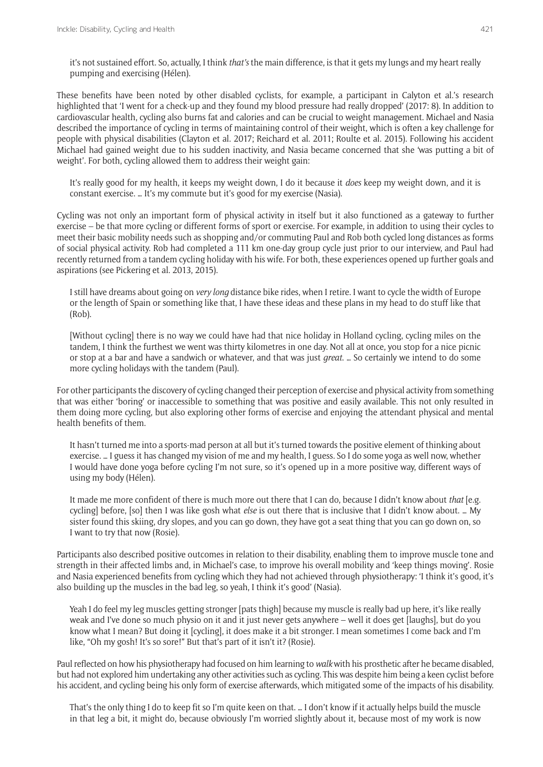it's not sustained effort. So, actually, I think *that's* the main difference, is that it gets my lungs and my heart really pumping and exercising (Hélen).

These benefits have been noted by other disabled cyclists, for example, a participant in Calyton et al.'s research highlighted that 'I went for a check-up and they found my blood pressure had really dropped' (2017: 8). In addition to cardiovascular health, cycling also burns fat and calories and can be crucial to weight management. Michael and Nasia described the importance of cycling in terms of maintaining control of their weight, which is often a key challenge for people with physical disabilities (Clayton et al. 2017; Reichard et al. 2011; Roulte et al. 2015). Following his accident Michael had gained weight due to his sudden inactivity, and Nasia became concerned that she 'was putting a bit of weight'. For both, cycling allowed them to address their weight gain:

It's really good for my health, it keeps my weight down, I do it because it *does* keep my weight down, and it is constant exercise. … It's my commute but it's good for my exercise (Nasia).

Cycling was not only an important form of physical activity in itself but it also functioned as a gateway to further exercise – be that more cycling or different forms of sport or exercise. For example, in addition to using their cycles to meet their basic mobility needs such as shopping and/or commuting Paul and Rob both cycled long distances as forms of social physical activity. Rob had completed a 111 km one-day group cycle just prior to our interview, and Paul had recently returned from a tandem cycling holiday with his wife. For both, these experiences opened up further goals and aspirations (see Pickering et al. 2013, 2015).

I still have dreams about going on *very long* distance bike rides, when I retire. I want to cycle the width of Europe or the length of Spain or something like that, I have these ideas and these plans in my head to do stuff like that (Rob).

[Without cycling] there is no way we could have had that nice holiday in Holland cycling, cycling miles on the tandem, I think the furthest we went was thirty kilometres in one day. Not all at once, you stop for a nice picnic or stop at a bar and have a sandwich or whatever, and that was just *great*. … So certainly we intend to do some more cycling holidays with the tandem (Paul).

For other participants the discovery of cycling changed their perception of exercise and physical activity from something that was either 'boring' or inaccessible to something that was positive and easily available. This not only resulted in them doing more cycling, but also exploring other forms of exercise and enjoying the attendant physical and mental health benefits of them.

It hasn't turned me into a sports-mad person at all but it's turned towards the positive element of thinking about exercise. … I guess it has changed my vision of me and my health, I guess. So I do some yoga as well now, whether I would have done yoga before cycling I'm not sure, so it's opened up in a more positive way, different ways of using my body (Hélen).

It made me more confident of there is much more out there that I can do, because I didn't know about *that* [e.g. cycling] before, [so] then I was like gosh what *else* is out there that is inclusive that I didn't know about. … My sister found this skiing, dry slopes, and you can go down, they have got a seat thing that you can go down on, so I want to try that now (Rosie).

Participants also described positive outcomes in relation to their disability, enabling them to improve muscle tone and strength in their affected limbs and, in Michael's case, to improve his overall mobility and 'keep things moving'. Rosie and Nasia experienced benefits from cycling which they had not achieved through physiotherapy: 'I think it's good, it's also building up the muscles in the bad leg, so yeah, I think it's good' (Nasia).

Yeah I do feel my leg muscles getting stronger [pats thigh] because my muscle is really bad up here, it's like really weak and I've done so much physio on it and it just never gets anywhere – well it does get [laughs], but do you know what I mean? But doing it [cycling], it does make it a bit stronger. I mean sometimes I come back and I'm like, "Oh my gosh! It's so sore!" But that's part of it isn't it? (Rosie).

Paul reflected on how his physiotherapy had focused on him learning to *walk* with his prosthetic after he became disabled, but had not explored him undertaking any other activities such as cycling. This was despite him being a keen cyclist before his accident, and cycling being his only form of exercise afterwards, which mitigated some of the impacts of his disability.

That's the only thing I do to keep fit so I'm quite keen on that. … I don't know if it actually helps build the muscle in that leg a bit, it might do, because obviously I'm worried slightly about it, because most of my work is now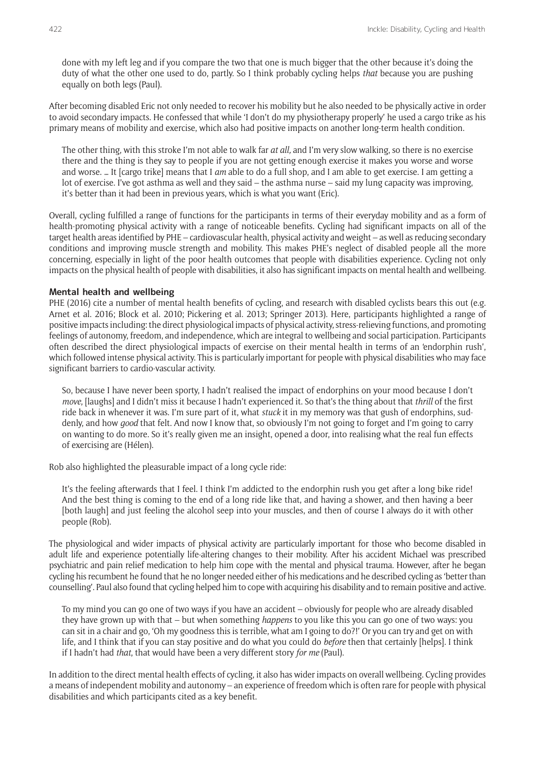done with my left leg and if you compare the two that one is much bigger that the other because it's doing the duty of what the other one used to do, partly. So I think probably cycling helps *that* because you are pushing equally on both legs (Paul).

After becoming disabled Eric not only needed to recover his mobility but he also needed to be physically active in order to avoid secondary impacts. He confessed that while 'I don't do my physiotherapy properly' he used a cargo trike as his primary means of mobility and exercise, which also had positive impacts on another long-term health condition.

The other thing, with this stroke I'm not able to walk far *at all,* and I'm very slow walking, so there is no exercise there and the thing is they say to people if you are not getting enough exercise it makes you worse and worse and worse. … It [cargo trike] means that I *am* able to do a full shop, and I am able to get exercise. I am getting a lot of exercise. I've got asthma as well and they said – the asthma nurse – said my lung capacity was improving, it's better than it had been in previous years, which is what you want (Eric).

Overall, cycling fulfilled a range of functions for the participants in terms of their everyday mobility and as a form of health-promoting physical activity with a range of noticeable benefits. Cycling had significant impacts on all of the target health areas identified by PHE – cardiovascular health, physical activity and weight – as well as reducing secondary conditions and improving muscle strength and mobility. This makes PHE's neglect of disabled people all the more concerning, especially in light of the poor health outcomes that people with disabilities experience. Cycling not only impacts on the physical health of people with disabilities, it also has significant impacts on mental health and wellbeing.

#### **Mental health and wellbeing**

PHE (2016) cite a number of mental health benefits of cycling, and research with disabled cyclists bears this out (e.g. Arnet et al. 2016; Block et al. 2010; Pickering et al. 2013; Springer 2013). Here, participants highlighted a range of positive impacts including: the direct physiological impacts of physical activity, stress-relieving functions, and promoting feelings of autonomy, freedom, and independence, which are integral to wellbeing and social participation. Participants often described the direct physiological impacts of exercise on their mental health in terms of an 'endorphin rush', which followed intense physical activity. This is particularly important for people with physical disabilities who may face significant barriers to cardio-vascular activity.

So, because I have never been sporty, I hadn't realised the impact of endorphins on your mood because I don't *move*, [laughs] and I didn't miss it because I hadn't experienced it. So that's the thing about that *thrill* of the first ride back in whenever it was. I'm sure part of it, what *stuck* it in my memory was that gush of endorphins, suddenly, and how *good* that felt. And now I know that, so obviously I'm not going to forget and I'm going to carry on wanting to do more. So it's really given me an insight, opened a door, into realising what the real fun effects of exercising are (Hélen).

Rob also highlighted the pleasurable impact of a long cycle ride:

It's the feeling afterwards that I feel. I think I'm addicted to the endorphin rush you get after a long bike ride! And the best thing is coming to the end of a long ride like that, and having a shower, and then having a beer [both laugh] and just feeling the alcohol seep into your muscles, and then of course I always do it with other people (Rob).

The physiological and wider impacts of physical activity are particularly important for those who become disabled in adult life and experience potentially life-altering changes to their mobility. After his accident Michael was prescribed psychiatric and pain relief medication to help him cope with the mental and physical trauma. However, after he began cycling his recumbent he found that he no longer needed either of his medications and he described cycling as 'better than counselling'. Paul also found that cycling helped him to cope with acquiring his disability and to remain positive and active.

To my mind you can go one of two ways if you have an accident – obviously for people who are already disabled they have grown up with that – but when something *happens* to you like this you can go one of two ways: you can sit in a chair and go, 'Oh my goodness this is terrible, what am I going to do?!' Or you can try and get on with life, and I think that if you can stay positive and do what you could do *before* then that certainly [helps]. I think if I hadn't had *that*, that would have been a very different story *for me* (Paul).

In addition to the direct mental health effects of cycling, it also has wider impacts on overall wellbeing. Cycling provides a means of independent mobility and autonomy – an experience of freedom which is often rare for people with physical disabilities and which participants cited as a key benefit.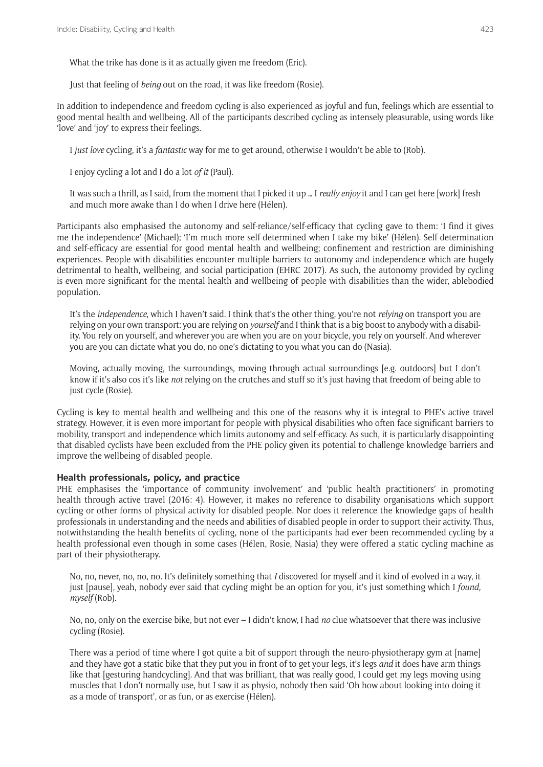What the trike has done is it as actually given me freedom (Eric).

Just that feeling of *being* out on the road, it was like freedom (Rosie).

In addition to independence and freedom cycling is also experienced as joyful and fun, feelings which are essential to good mental health and wellbeing. All of the participants described cycling as intensely pleasurable, using words like 'love' and 'joy' to express their feelings.

I *just love* cycling, it's a *fantastic* way for me to get around, otherwise I wouldn't be able to (Rob).

I enjoy cycling a lot and I do a lot *of it* (Paul).

It was such a thrill, as I said, from the moment that I picked it up … I *really enjoy* it and I can get here [work] fresh and much more awake than I do when I drive here (Hélen).

Participants also emphasised the autonomy and self-reliance/self-efficacy that cycling gave to them: 'I find it gives me the independence' (Michael); 'I'm much more self-determined when I take my bike' (Hélen). Self-determination and self-efficacy are essential for good mental health and wellbeing; confinement and restriction are diminishing experiences. People with disabilities encounter multiple barriers to autonomy and independence which are hugely detrimental to health, wellbeing, and social participation (EHRC 2017). As such, the autonomy provided by cycling is even more significant for the mental health and wellbeing of people with disabilities than the wider, ablebodied population.

It's the *independence*, which I haven't said. I think that's the other thing, you're not *relying* on transport you are relying on your own transport: you are relying on *yourself* and I think that is a big boost to anybody with a disability. You rely on yourself, and wherever you are when you are on your bicycle, you rely on yourself. And wherever you are you can dictate what you do, no one's dictating to you what you can do (Nasia).

Moving, actually moving, the surroundings, moving through actual surroundings [e.g. outdoors] but I don't know if it's also cos it's like *not* relying on the crutches and stuff so it's just having that freedom of being able to just cycle (Rosie).

Cycling is key to mental health and wellbeing and this one of the reasons why it is integral to PHE's active travel strategy. However, it is even more important for people with physical disabilities who often face significant barriers to mobility, transport and independence which limits autonomy and self-efficacy. As such, it is particularly disappointing that disabled cyclists have been excluded from the PHE policy given its potential to challenge knowledge barriers and improve the wellbeing of disabled people.

# **Health professionals, policy, and practice**

PHE emphasises the 'importance of community involvement' and 'public health practitioners' in promoting health through active travel (2016: 4). However, it makes no reference to disability organisations which support cycling or other forms of physical activity for disabled people. Nor does it reference the knowledge gaps of health professionals in understanding and the needs and abilities of disabled people in order to support their activity. Thus, notwithstanding the health benefits of cycling, none of the participants had ever been recommended cycling by a health professional even though in some cases (Hélen, Rosie, Nasia) they were offered a static cycling machine as part of their physiotherapy.

No, no, never, no, no, no. It's definitely something that *I* discovered for myself and it kind of evolved in a way, it just [pause], yeah, nobody ever said that cycling might be an option for you, it's just something which I *found, myself* (Rob).

No, no, only on the exercise bike, but not ever – I didn't know, I had *no* clue whatsoever that there was inclusive cycling (Rosie).

There was a period of time where I got quite a bit of support through the neuro-physiotherapy gym at [name] and they have got a static bike that they put you in front of to get your legs, it's legs *and* it does have arm things like that [gesturing handcycling]. And that was brilliant, that was really good, I could get my legs moving using muscles that I don't normally use, but I saw it as physio, nobody then said 'Oh how about looking into doing it as a mode of transport', or as fun, or as exercise (Hélen).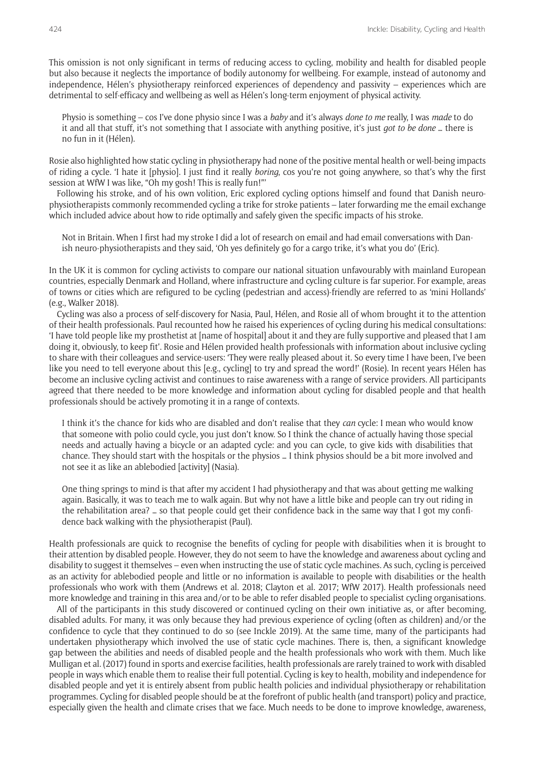This omission is not only significant in terms of reducing access to cycling, mobility and health for disabled people but also because it neglects the importance of bodily autonomy for wellbeing. For example, instead of autonomy and independence, Hélen's physiotherapy reinforced experiences of dependency and passivity – experiences which are detrimental to self-efficacy and wellbeing as well as Hélen's long-term enjoyment of physical activity.

Physio is something – cos I've done physio since I was a *baby* and it's always *done to me* really, I was *made* to do it and all that stuff, it's not something that I associate with anything positive, it's just *got to be done* … there is no fun in it (Hélen).

Rosie also highlighted how static cycling in physiotherapy had none of the positive mental health or well-being impacts of riding a cycle. 'I hate it [physio]. I just find it really *boring*, cos you're not going anywhere, so that's why the first session at WfW I was like, "Oh my gosh! This is really fun!"'

Following his stroke, and of his own volition, Eric explored cycling options himself and found that Danish neurophysiotherapists commonly recommended cycling a trike for stroke patients – later forwarding me the email exchange which included advice about how to ride optimally and safely given the specific impacts of his stroke.

Not in Britain. When I first had my stroke I did a lot of research on email and had email conversations with Danish neuro-physiotherapists and they said, 'Oh yes definitely go for a cargo trike, it's what you do' (Eric).

In the UK it is common for cycling activists to compare our national situation unfavourably with mainland European countries, especially Denmark and Holland, where infrastructure and cycling culture is far superior. For example, areas of towns or cities which are refigured to be cycling (pedestrian and access)-friendly are referred to as 'mini Hollands' (e.g., Walker 2018).

Cycling was also a process of self-discovery for Nasia, Paul, Hélen, and Rosie all of whom brought it to the attention of their health professionals. Paul recounted how he raised his experiences of cycling during his medical consultations: 'I have told people like my prosthetist at [name of hospital] about it and they are fully supportive and pleased that I am doing it, obviously, to keep fit'. Rosie and Hélen provided health professionals with information about inclusive cycling to share with their colleagues and service-users: 'They were really pleased about it. So every time I have been, I've been like you need to tell everyone about this [e.g., cycling] to try and spread the word!' (Rosie). In recent years Hélen has become an inclusive cycling activist and continues to raise awareness with a range of service providers. All participants agreed that there needed to be more knowledge and information about cycling for disabled people and that health professionals should be actively promoting it in a range of contexts.

I think it's the chance for kids who are disabled and don't realise that they *can* cycle: I mean who would know that someone with polio could cycle, you just don't know. So I think the chance of actually having those special needs and actually having a bicycle or an adapted cycle: and you can cycle, to give kids with disabilities that chance. They should start with the hospitals or the physios … I think physios should be a bit more involved and not see it as like an ablebodied [activity] (Nasia).

One thing springs to mind is that after my accident I had physiotherapy and that was about getting me walking again. Basically, it was to teach me to walk again. But why not have a little bike and people can try out riding in the rehabilitation area? … so that people could get their confidence back in the same way that I got my confidence back walking with the physiotherapist (Paul).

Health professionals are quick to recognise the benefits of cycling for people with disabilities when it is brought to their attention by disabled people. However, they do not seem to have the knowledge and awareness about cycling and disability to suggest it themselves – even when instructing the use of static cycle machines. As such, cycling is perceived as an activity for ablebodied people and little or no information is available to people with disabilities or the health professionals who work with them (Andrews et al. 2018; Clayton et al. 2017; WfW 2017). Health professionals need more knowledge and training in this area and/or to be able to refer disabled people to specialist cycling organisations.

All of the participants in this study discovered or continued cycling on their own initiative as, or after becoming, disabled adults. For many, it was only because they had previous experience of cycling (often as children) and/or the confidence to cycle that they continued to do so (see Inckle 2019). At the same time, many of the participants had undertaken physiotherapy which involved the use of static cycle machines. There is, then, a significant knowledge gap between the abilities and needs of disabled people and the health professionals who work with them. Much like Mulligan et al. (2017) found in sports and exercise facilities, health professionals are rarely trained to work with disabled people in ways which enable them to realise their full potential. Cycling is key to health, mobility and independence for disabled people and yet it is entirely absent from public health policies and individual physiotherapy or rehabilitation programmes. Cycling for disabled people should be at the forefront of public health (and transport) policy and practice, especially given the health and climate crises that we face. Much needs to be done to improve knowledge, awareness,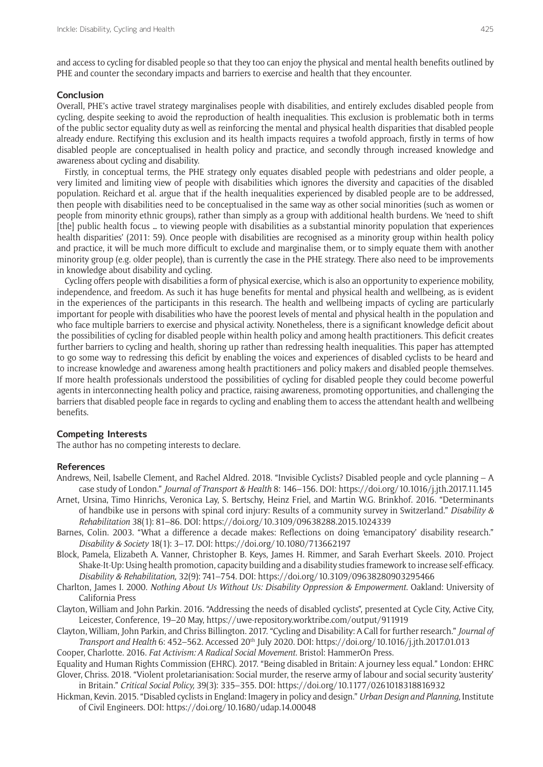and access to cycling for disabled people so that they too can enjoy the physical and mental health benefits outlined by PHE and counter the secondary impacts and barriers to exercise and health that they encounter.

# **Conclusion**

Overall, PHE's active travel strategy marginalises people with disabilities, and entirely excludes disabled people from cycling, despite seeking to avoid the reproduction of health inequalities. This exclusion is problematic both in terms of the public sector equality duty as well as reinforcing the mental and physical health disparities that disabled people already endure. Rectifying this exclusion and its health impacts requires a twofold approach, firstly in terms of how disabled people are conceptualised in health policy and practice, and secondly through increased knowledge and awareness about cycling and disability.

Firstly, in conceptual terms, the PHE strategy only equates disabled people with pedestrians and older people, a very limited and limiting view of people with disabilities which ignores the diversity and capacities of the disabled population. Reichard et al. argue that if the health inequalities experienced by disabled people are to be addressed, then people with disabilities need to be conceptualised in the same way as other social minorities (such as women or people from minority ethnic groups), rather than simply as a group with additional health burdens. We 'need to shift [the] public health focus … to viewing people with disabilities as a substantial minority population that experiences health disparities' (2011: 59). Once people with disabilities are recognised as a minority group within health policy and practice, it will be much more difficult to exclude and marginalise them, or to simply equate them with another minority group (e.g. older people), than is currently the case in the PHE strategy. There also need to be improvements in knowledge about disability and cycling.

Cycling offers people with disabilities a form of physical exercise, which is also an opportunity to experience mobility, independence, and freedom. As such it has huge benefits for mental and physical health and wellbeing, as is evident in the experiences of the participants in this research. The health and wellbeing impacts of cycling are particularly important for people with disabilities who have the poorest levels of mental and physical health in the population and who face multiple barriers to exercise and physical activity. Nonetheless, there is a significant knowledge deficit about the possibilities of cycling for disabled people within health policy and among health practitioners. This deficit creates further barriers to cycling and health, shoring up rather than redressing health inequalities. This paper has attempted to go some way to redressing this deficit by enabling the voices and experiences of disabled cyclists to be heard and to increase knowledge and awareness among health practitioners and policy makers and disabled people themselves. If more health professionals understood the possibilities of cycling for disabled people they could become powerful agents in interconnecting health policy and practice, raising awareness, promoting opportunities, and challenging the barriers that disabled people face in regards to cycling and enabling them to access the attendant health and wellbeing benefits.

#### **Competing Interests**

The author has no competing interests to declare.

#### **References**

- Andrews, Neil, Isabelle Clement, and Rachel Aldred. 2018. "Invisible Cyclists? Disabled people and cycle planning A case study of London." *Journal of Transport & Health* 8: 146–156. DOI:<https://doi.org/10.1016/j.jth.2017.11.145>
- Arnet, Ursina, Timo Hinrichs, Veronica Lay, S. Bertschy, Heinz Friel, and Martin W.G. Brinkhof. 2016. "Determinants of handbike use in persons with spinal cord injury: Results of a community survey in Switzerland." *Disability & Rehabilitation* 38(1): 81–86. DOI:<https://doi.org/10.3109/09638288.2015.1024339>
- Barnes, Colin. 2003. "What a difference a decade makes: Reflections on doing 'emancipatory' disability research." *Disability & Society* 18(1): 3–17. DOI: <https://doi.org/10.1080/713662197>
- Block, Pamela, Elizabeth A. Vanner, Christopher B. Keys, James H. Rimmer, and Sarah Everhart Skeels. 2010. Project Shake-It-Up: Using health promotion, capacity building and a disability studies framework to increase self-efficacy. *Disability & Rehabilitation,* 32(9): 741–754. DOI: <https://doi.org/10.3109/09638280903295466>
- Charlton, James I. 2000. *Nothing About Us Without Us: Disability Oppression & Empowerment*. Oakland: University of California Press
- Clayton, William and John Parkin. 2016. "Addressing the needs of disabled cyclists", presented at Cycle City, Active City, Leicester, Conference, 19–20 May, <https://uwe-repository.worktribe.com/output/911919>

Clayton, William, John Parkin, and Chriss Billington. 2017. "Cycling and Disability: A Call for further research." *Journal of Transport and Health* 6: 452–562. Accessed 20th July 2020. DOI:<https://doi.org/10.1016/j.jth.2017.01.013>

Cooper, Charlotte. 2016. *Fat Activism: A Radical Social Movement.* Bristol: HammerOn Press.

Equality and Human Rights Commission (EHRC). 2017. "Being disabled in Britain: A journey less equal*.*" London: EHRC Glover, Chriss. 2018. "Violent proletarianisation: Social murder, the reserve army of labour and social security 'austerity' in Britain." *Critical Social Policy,* 39(3): 335–355. DOI:<https://doi.org/10.1177/0261018318816932>

Hickman, Kevin. 2015. "Disabled cyclists in England: Imagery in policy and design." *Urban Design and Planning,* Institute of Civil Engineers. DOI:<https://doi.org/10.1680/udap.14.00048>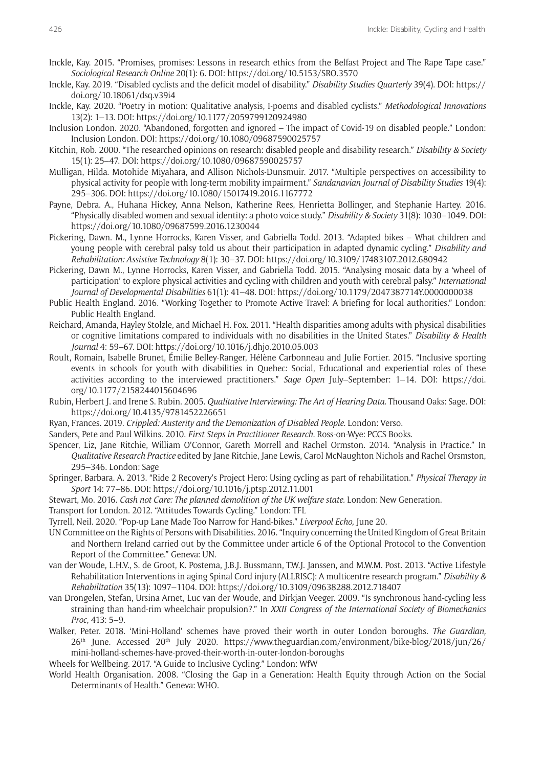- Inckle, Kay. 2015. "Promises, promises: Lessons in research ethics from the Belfast Project and The Rape Tape case." *Sociological Research Online* 20(1): 6. DOI:<https://doi.org/10.5153/SRO.3570>
- Inckle, Kay. 2019. "Disabled cyclists and the deficit model of disability." *Disability Studies Quarterly* 39(4). DOI: [https://](https://doi.org/10.18061/dsq.v39i4) [doi.org/10.18061/dsq.v39i4](https://doi.org/10.18061/dsq.v39i4)
- Inckle, Kay. 2020. "Poetry in motion: Qualitative analysis, I-poems and disabled cyclists." *Methodological Innovations* 13(2): 1–13. DOI:<https://doi.org/10.1177/2059799120924980>
- Inclusion London. 2020. "Abandoned, forgotten and ignored The impact of Covid-19 on disabled people." London: Inclusion London. DOI:<https://doi.org/10.1080/09687590025757>
- Kitchin, Rob. 2000. "The researched opinions on research: disabled people and disability research." *Disability & Society*  15(1): 25–47. DOI:<https://doi.org/10.1080/09687590025757>
- Mulligan, Hilda. Motohide Miyahara, and Allison Nichols-Dunsmuir. 2017. "Multiple perspectives on accessibility to physical activity for people with long-term mobility impairment." *Sandanavian Journal of Disability Studies* 19(4): 295–306. DOI:<https://doi.org/10.1080/15017419.2016.1167772>
- Payne, Debra. A., Huhana Hickey, Anna Nelson, Katherine Rees, Henrietta Bollinger, and Stephanie Hartey. 2016. "Physically disabled women and sexual identity: a photo voice study." *Disability & Society* 31(8): 1030–1049. DOI: <https://doi.org/10.1080/09687599.2016.1230044>
- Pickering, Dawn. M., Lynne Horrocks, Karen Visser, and Gabriella Todd. 2013. "Adapted bikes What children and young people with cerebral palsy told us about their participation in adapted dynamic cycling." *Disability and Rehabilitation: Assistive Technology* 8(1): 30–37. DOI: <https://doi.org/10.3109/17483107.2012.680942>
- Pickering, Dawn M., Lynne Horrocks, Karen Visser, and Gabriella Todd. 2015. "Analysing mosaic data by a 'wheel of participation' to explore physical activities and cycling with children and youth with cerebral palsy." *International Journal of Developmental Disabilities* 61(1): 41–48. DOI:<https://doi.org/10.1179/2047387714Y.0000000038>
- Public Health England. 2016. "Working Together to Promote Active Travel: A briefing for local authorities." London: Public Health England.
- Reichard, Amanda, Hayley Stolzle, and Michael H. Fox. 2011. "Health disparities among adults with physical disabilities or cognitive limitations compared to individuals with no disabilities in the United States." *Disability & Health Journal* 4: 59–67. DOI:<https://doi.org/10.1016/j.dhjo.2010.05.003>
- Roult, Romain, Isabelle Brunet, Émilie Belley-Ranger, Hélène Carbonneau and Julie Fortier. 2015. "Inclusive sporting events in schools for youth with disabilities in Quebec: Social, Educational and experiential roles of these activities according to the interviewed practitioners." *Sage Open* July–September: 1–14. DOI: [https://doi.](https://doi.org/10.1177/2158244015604696) [org/10.1177/2158244015604696](https://doi.org/10.1177/2158244015604696)
- Rubin, Herbert J. and Irene S. Rubin. 2005. *Qualitative Interviewing: The Art of Hearing Data.* Thousand Oaks: Sage. DOI: <https://doi.org/10.4135/9781452226651>
- Ryan, Frances. 2019. *Crippled: Austerity and the Demonization of Disabled People.* London: Verso.
- Sanders, Pete and Paul Wilkins. 2010. *First Steps in Practitioner Research.* Ross-on-Wye: PCCS Books.
- Spencer, Liz, Jane Ritchie, William O'Connor, Gareth Morrell and Rachel Ormston. 2014. "Analysis in Practice." In *Qualitative Research Practice* edited by Jane Ritchie, Jane Lewis, Carol McNaughton Nichols and Rachel Orsmston, 295–346. London: Sage
- Springer, Barbara. A. 2013. "Ride 2 Recovery's Project Hero: Using cycling as part of rehabilitation." *Physical Therapy in Sport* 14: 77–86. DOI: <https://doi.org/10.1016/j.ptsp.2012.11.001>
- Stewart, Mo. 2016. *Cash not Care: The planned demolition of the UK welfare state.* London: New Generation.
- Transport for London. 2012. "Attitudes Towards Cycling." London: TFL
- Tyrrell, Neil. 2020. "Pop-up Lane Made Too Narrow for Hand-bikes." *Liverpool Echo,* June 20.
- UN Committee on the Rights of Persons with Disabilities. 2016."Inquiry concerning the United Kingdom of Great Britain and Northern Ireland carried out by the Committee under article 6 of the Optional Protocol to the Convention Report of the Committee." Geneva: UN.
- van der Woude, L.H.V., S. de Groot, K. Postema, J.B.J. Bussmann, T.W.J. Janssen, and M.W.M. Post. 2013. "Active Lifestyle Rehabilitation Interventions in aging Spinal Cord injury (ALLRISC): A multicentre research program." *Disability & Rehabilitation* 35(13): 1097–1104. DOI: <https://doi.org/10.3109/09638288.2012.718407>
- van Drongelen, Stefan, Ursina Arnet, Luc van der Woude, and Dirkjan Veeger. 2009. "Is synchronous hand-cycling less straining than hand-rim wheelchair propulsion?." In *XXII Congress of the International Society of Biomechanics Proc*, 413: 5–9.
- Walker, Peter. 2018. 'Mini-Holland' schemes have proved their worth in outer London boroughs. *The Guardian,*  26th June. Accessed 20th July 2020. [https://www.theguardian.com/environment/bike-blog/2018/jun/26/](https://www.theguardian.com/environment/bike-blog/2018/jun/26/mini-holland-schemes-have-proved-their-worth-in-outer-london-boroughs) [mini-holland-schemes-have-proved-their-worth-in-outer-london-boroughs](https://www.theguardian.com/environment/bike-blog/2018/jun/26/mini-holland-schemes-have-proved-their-worth-in-outer-london-boroughs)
- Wheels for Wellbeing. 2017. "A Guide to Inclusive Cycling." London: WfW
- World Health Organisation. 2008. "Closing the Gap in a Generation: Health Equity through Action on the Social Determinants of Health." Geneva: WHO.